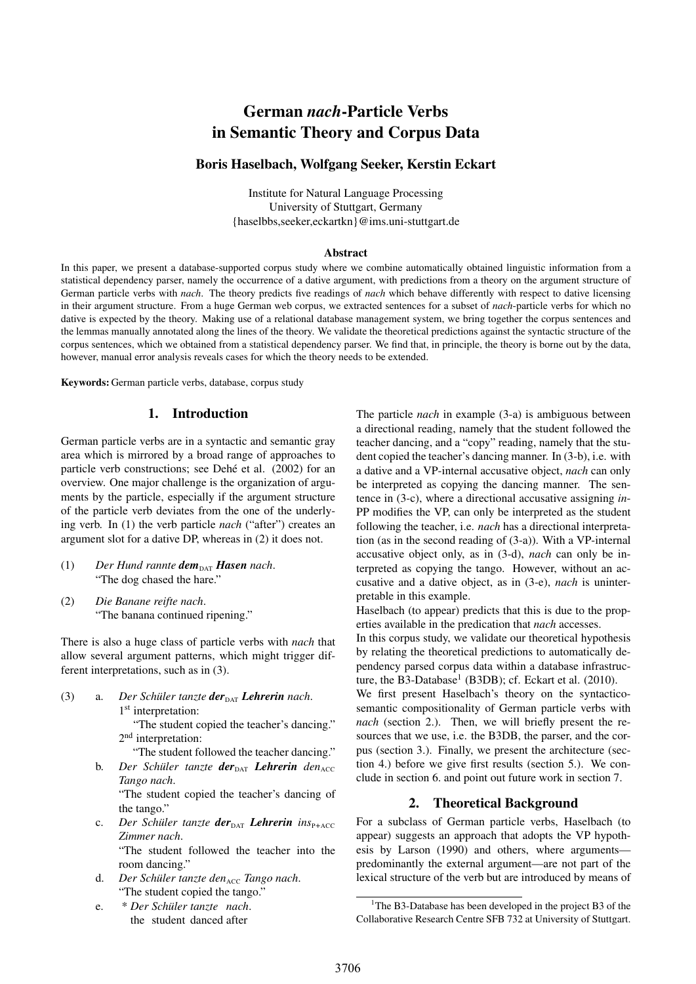# German *nach*-Particle Verbs in Semantic Theory and Corpus Data

# Boris Haselbach, Wolfgang Seeker, Kerstin Eckart

Institute for Natural Language Processing University of Stuttgart, Germany {haselbbs,seeker,eckartkn}@ims.uni-stuttgart.de

#### **Abstract**

In this paper, we present a database-supported corpus study where we combine automatically obtained linguistic information from a statistical dependency parser, namely the occurrence of a dative argument, with predictions from a theory on the argument structure of German particle verbs with *nach*. The theory predicts five readings of *nach* which behave differently with respect to dative licensing in their argument structure. From a huge German web corpus, we extracted sentences for a subset of *nach*-particle verbs for which no dative is expected by the theory. Making use of a relational database management system, we bring together the corpus sentences and the lemmas manually annotated along the lines of the theory. We validate the theoretical predictions against the syntactic structure of the corpus sentences, which we obtained from a statistical dependency parser. We find that, in principle, the theory is borne out by the data, however, manual error analysis reveals cases for which the theory needs to be extended.

Keywords: German particle verbs, database, corpus study

# 1. Introduction

German particle verbs are in a syntactic and semantic gray area which is mirrored by a broad range of approaches to particle verb constructions; see Dehé et al. (2002) for an overview. One major challenge is the organization of arguments by the particle, especially if the argument structure of the particle verb deviates from the one of the underlying verb. In (1) the verb particle *nach* ("after") creates an argument slot for a dative DP, whereas in (2) it does not.

- $(1)$  *Der Hund rannte dem*<sub>DAT</sub> *Hasen nach.* "The dog chased the hare."
- (2) *Die Banane reifte nach*. "The banana continued ripening."

There is also a huge class of particle verbs with *nach* that allow several argument patterns, which might trigger different interpretations, such as in (3).

(3) a. *Der Schüler tanzte* **der**<sub>DAT</sub> *Lehrerin nach*. 1<sup>st</sup> interpretation:

> "The student copied the teacher's dancing." 2<sup>nd</sup> interpretation:

"The student followed the teacher dancing."

**b.** *Der Schüler tanzte* **der**<sub>DAT</sub> *Lehrerin den*<sub>ACC</sub> *Tango nach*.

"The student copied the teacher's dancing of the tango."

c. *Der Schüler tanzte der<sub>DAT</sub> <i>Lehrerin ins*<sub>P+ACC</sub></sup> *Zimmer nach*.

"The student followed the teacher into the room dancing."

- d. *Der Schüler tanzte den*<sub>ACC</sub> Tango nach. "The student copied the tango."
- e. \* *Der Schüler tanzte nach*. the student danced after

The particle *nach* in example (3-a) is ambiguous between a directional reading, namely that the student followed the teacher dancing, and a "copy" reading, namely that the student copied the teacher's dancing manner. In (3-b), i.e. with a dative and a VP-internal accusative object, *nach* can only be interpreted as copying the dancing manner. The sentence in (3-c), where a directional accusative assigning *in*-PP modifies the VP, can only be interpreted as the student following the teacher, i.e. *nach* has a directional interpretation (as in the second reading of (3-a)). With a VP-internal accusative object only, as in (3-d), *nach* can only be interpreted as copying the tango. However, without an accusative and a dative object, as in (3-e), *nach* is uninterpretable in this example.

Haselbach (to appear) predicts that this is due to the properties available in the predication that *nach* accesses.

In this corpus study, we validate our theoretical hypothesis by relating the theoretical predictions to automatically dependency parsed corpus data within a database infrastructure, the B3-Database<sup>1</sup> (B3DB); cf. Eckart et al.  $(2010)$ .

We first present Haselbach's theory on the syntacticosemantic compositionality of German particle verbs with *nach* (section 2.). Then, we will briefly present the resources that we use, i.e. the B3DB, the parser, and the corpus (section 3.). Finally, we present the architecture (section 4.) before we give first results (section 5.). We conclude in section 6. and point out future work in section 7.

## 2. Theoretical Background

For a subclass of German particle verbs, Haselbach (to appear) suggests an approach that adopts the VP hypothesis by Larson (1990) and others, where arguments predominantly the external argument—are not part of the lexical structure of the verb but are introduced by means of

<sup>&</sup>lt;sup>1</sup>The B3-Database has been developed in the project B3 of the Collaborative Research Centre SFB 732 at University of Stuttgart.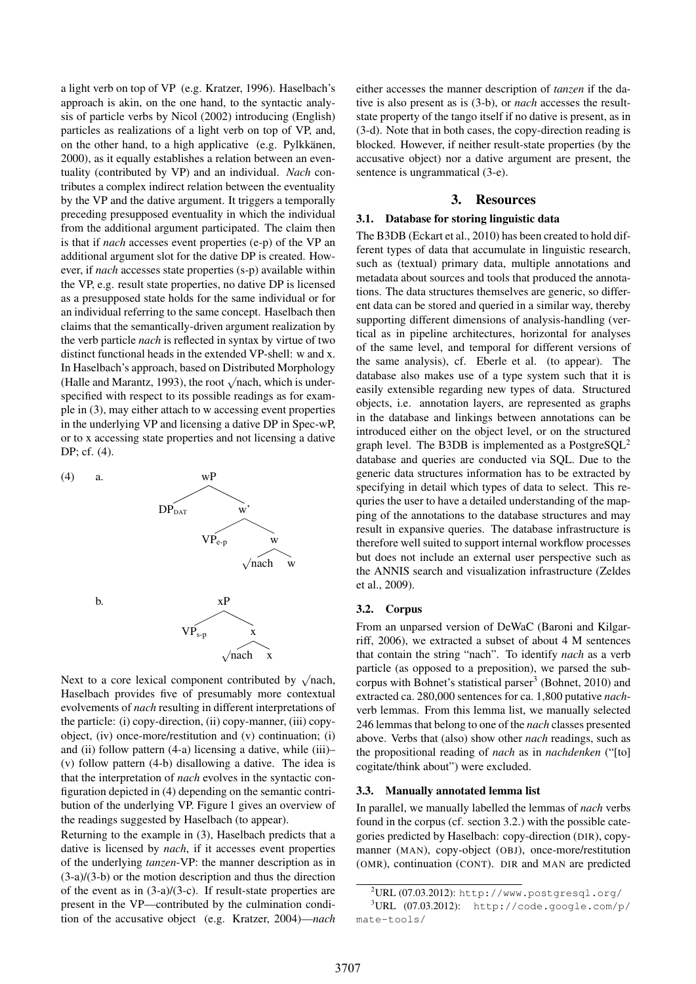a light verb on top of VP (e.g. Kratzer, 1996). Haselbach's approach is akin, on the one hand, to the syntactic analysis of particle verbs by Nicol (2002) introducing (English) particles as realizations of a light verb on top of VP, and, on the other hand, to a high applicative (e.g. Pylkkänen, 2000), as it equally establishes a relation between an eventuality (contributed by VP) and an individual. *Nach* contributes a complex indirect relation between the eventuality by the VP and the dative argument. It triggers a temporally preceding presupposed eventuality in which the individual from the additional argument participated. The claim then is that if *nach* accesses event properties (e-p) of the VP an additional argument slot for the dative DP is created. However, if *nach* accesses state properties (s-p) available within the VP, e.g. result state properties, no dative DP is licensed as a presupposed state holds for the same individual or for an individual referring to the same concept. Haselbach then claims that the semantically-driven argument realization by the verb particle *nach* is reflected in syntax by virtue of two distinct functional heads in the extended VP-shell: w and x. In Haselbach's approach, based on Distributed Morphology In Haselbach s approach, based on Distributed Morphology<br>(Halle and Marantz, 1993), the root  $\sqrt{$ nach, which is underspecified with respect to its possible readings as for example in (3), may either attach to w accessing event properties in the underlying VP and licensing a dative DP in Spec-wP, or to x accessing state properties and not licensing a dative DP; cf. (4).

(4) a. wP  $DP<sub>DAT</sub>$  w  $VP_{e-n}$  w √ nach w b. xP  $VP_{s-p}$ √ nach x

Next to a core lexical component contributed by  $\sqrt{\text{nach}}$ , Haselbach provides five of presumably more contextual evolvements of *nach* resulting in different interpretations of the particle: (i) copy-direction, (ii) copy-manner, (iii) copyobject, (iv) once-more/restitution and (v) continuation; (i) and (ii) follow pattern (4-a) licensing a dative, while (iii)– (v) follow pattern (4-b) disallowing a dative. The idea is that the interpretation of *nach* evolves in the syntactic configuration depicted in (4) depending on the semantic contribution of the underlying VP. Figure 1 gives an overview of the readings suggested by Haselbach (to appear).

Returning to the example in (3), Haselbach predicts that a dative is licensed by *nach*, if it accesses event properties of the underlying *tanzen*-VP: the manner description as in (3-a)/(3-b) or the motion description and thus the direction of the event as in (3-a)/(3-c). If result-state properties are present in the VP—contributed by the culmination condition of the accusative object (e.g. Kratzer, 2004)—*nach* either accesses the manner description of *tanzen* if the dative is also present as is (3-b), or *nach* accesses the resultstate property of the tango itself if no dative is present, as in (3-d). Note that in both cases, the copy-direction reading is blocked. However, if neither result-state properties (by the accusative object) nor a dative argument are present, the sentence is ungrammatical (3-e).

## 3. Resources

#### 3.1. Database for storing linguistic data

The B3DB (Eckart et al., 2010) has been created to hold different types of data that accumulate in linguistic research, such as (textual) primary data, multiple annotations and metadata about sources and tools that produced the annotations. The data structures themselves are generic, so different data can be stored and queried in a similar way, thereby supporting different dimensions of analysis-handling (vertical as in pipeline architectures, horizontal for analyses of the same level, and temporal for different versions of the same analysis), cf. Eberle et al. (to appear). The database also makes use of a type system such that it is easily extensible regarding new types of data. Structured objects, i.e. annotation layers, are represented as graphs in the database and linkings between annotations can be introduced either on the object level, or on the structured graph level. The B3DB is implemented as a PostgreSQL<sup>2</sup> database and queries are conducted via SQL. Due to the generic data structures information has to be extracted by specifying in detail which types of data to select. This requries the user to have a detailed understanding of the mapping of the annotations to the database structures and may result in expansive queries. The database infrastructure is therefore well suited to support internal workflow processes but does not include an external user perspective such as the ANNIS search and visualization infrastructure (Zeldes et al., 2009).

#### 3.2. Corpus

From an unparsed version of DeWaC (Baroni and Kilgarriff, 2006), we extracted a subset of about 4 M sentences that contain the string "nach". To identify *nach* as a verb particle (as opposed to a preposition), we parsed the subcorpus with Bohnet's statistical parser<sup>3</sup> (Bohnet, 2010) and extracted ca. 280,000 sentences for ca. 1,800 putative *nach*verb lemmas. From this lemma list, we manually selected 246 lemmas that belong to one of the *nach* classes presented above. Verbs that (also) show other *nach* readings, such as the propositional reading of *nach* as in *nachdenken* ("[to] cogitate/think about") were excluded.

### 3.3. Manually annotated lemma list

In parallel, we manually labelled the lemmas of *nach* verbs found in the corpus (cf. section 3.2.) with the possible categories predicted by Haselbach: copy-direction (DIR), copymanner (MAN), copy-object (OBJ), once-more/restitution (OMR), continuation (CONT). DIR and MAN are predicted

 $2$ URL (07.03.2012): http://www.postgresql.org/

 $3$ URL (07.03.2012): http://code.google.com/p/ mate-tools/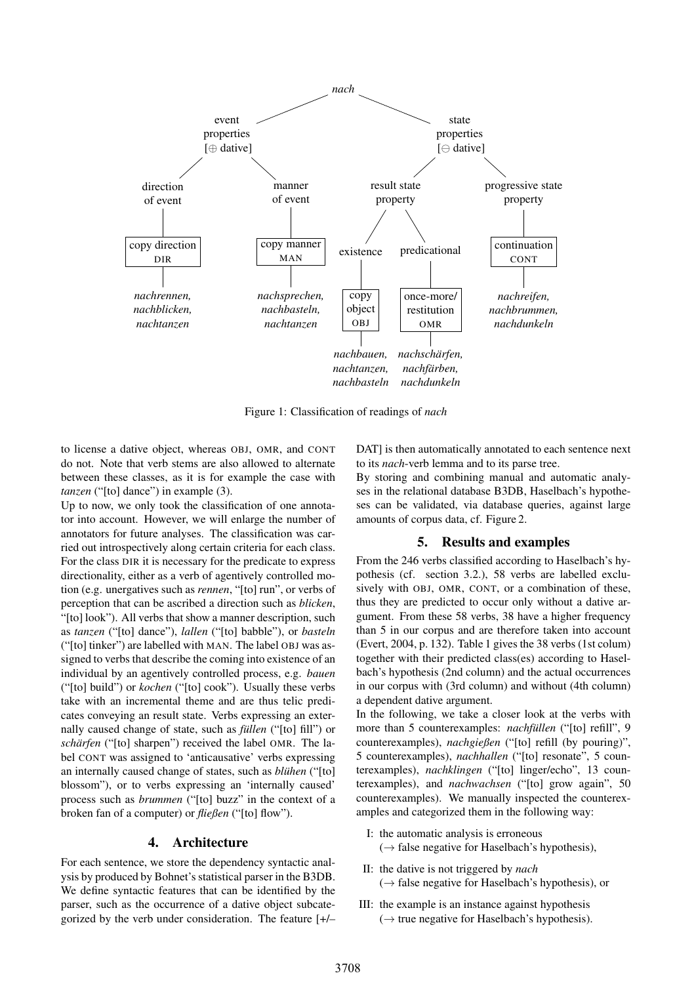

Figure 1: Classification of readings of *nach*

to license a dative object, whereas OBJ, OMR, and CONT do not. Note that verb stems are also allowed to alternate between these classes, as it is for example the case with *tanzen* ("[to] dance") in example (3).

Up to now, we only took the classification of one annotator into account. However, we will enlarge the number of annotators for future analyses. The classification was carried out introspectively along certain criteria for each class. For the class DIR it is necessary for the predicate to express directionality, either as a verb of agentively controlled motion (e.g. unergatives such as *rennen*, "[to] run", or verbs of perception that can be ascribed a direction such as *blicken*, "[to] look"). All verbs that show a manner description, such as *tanzen* ("[to] dance"), *lallen* ("[to] babble"), or *basteln* ("[to] tinker") are labelled with MAN. The label OBJ was assigned to verbs that describe the coming into existence of an individual by an agentively controlled process, e.g. *bauen* ("[to] build") or *kochen* ("[to] cook"). Usually these verbs take with an incremental theme and are thus telic predicates conveying an result state. Verbs expressing an externally caused change of state, such as *füllen* ("[to] fill") or *schärfen* ("[to] sharpen") received the label OMR. The label CONT was assigned to 'anticausative' verbs expressing an internally caused change of states, such as *blühen* ("[to] blossom"), or to verbs expressing an 'internally caused' process such as *brummen* ("[to] buzz" in the context of a broken fan of a computer) or *fließen* ("[to] flow").

## 4. Architecture

For each sentence, we store the dependency syntactic analysis by produced by Bohnet's statistical parser in the B3DB. We define syntactic features that can be identified by the parser, such as the occurrence of a dative object subcategorized by the verb under consideration. The feature [+/–

DAT] is then automatically annotated to each sentence next to its *nach*-verb lemma and to its parse tree.

By storing and combining manual and automatic analyses in the relational database B3DB, Haselbach's hypotheses can be validated, via database queries, against large amounts of corpus data, cf. Figure 2.

## 5. Results and examples

From the 246 verbs classified according to Haselbach's hypothesis (cf. section 3.2.), 58 verbs are labelled exclusively with OBJ, OMR, CONT, or a combination of these, thus they are predicted to occur only without a dative argument. From these 58 verbs, 38 have a higher frequency than 5 in our corpus and are therefore taken into account (Evert, 2004, p. 132). Table 1 gives the 38 verbs (1st colum) together with their predicted class(es) according to Haselbach's hypothesis (2nd column) and the actual occurrences in our corpus with (3rd column) and without (4th column) a dependent dative argument.

In the following, we take a closer look at the verbs with more than 5 counterexamples: *nachfüllen* ("[to] refill", 9 counterexamples), *nachgießen* ("[to] refill (by pouring)", 5 counterexamples), *nachhallen* ("[to] resonate", 5 counterexamples), *nachklingen* ("[to] linger/echo", 13 counterexamples), and *nachwachsen* ("[to] grow again", 50 counterexamples). We manually inspected the counterexamples and categorized them in the following way:

- I: the automatic analysis is erroneous  $(\rightarrow$  false negative for Haselbach's hypothesis),
- II: the dative is not triggered by *nach*  $(\rightarrow$  false negative for Haselbach's hypothesis), or
- III: the example is an instance against hypothesis  $(\rightarrow$  true negative for Haselbach's hypothesis).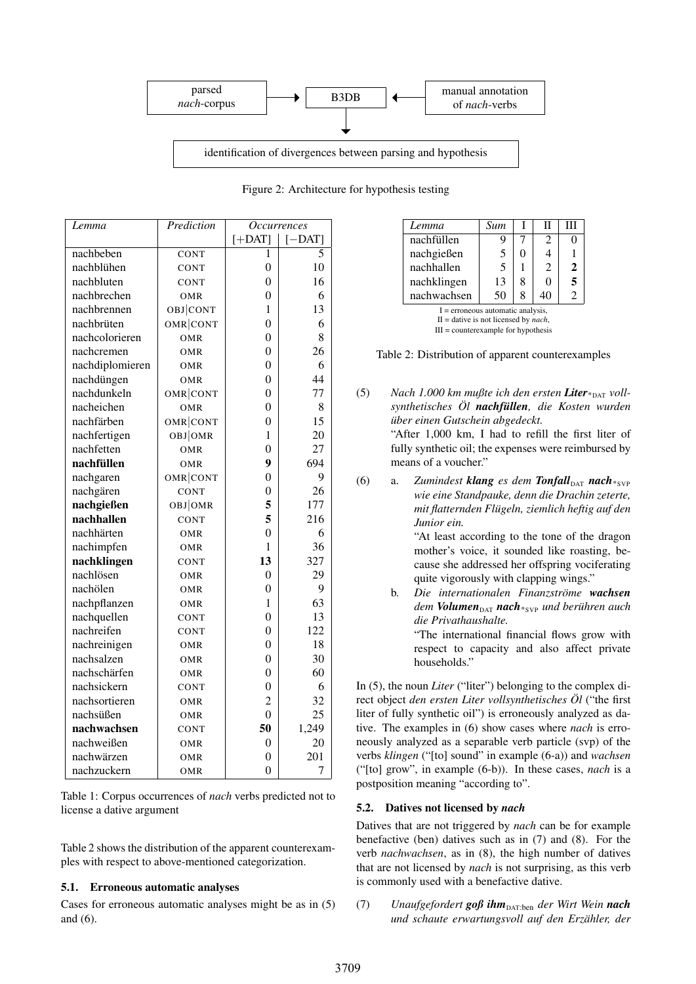

| Lemma           | Prediction | <b>Occurrences</b> |           |
|-----------------|------------|--------------------|-----------|
|                 |            | $[+$ DAT]          | $[-$ DAT] |
| nachbeben       | CONT       | 1                  | 5         |
| nachblühen      | CONT       | $\theta$           | 10        |
| nachbluten      | CONT       | $\overline{0}$     | 16        |
| nachbrechen     | OMR        | $\overline{0}$     | 6         |
| nachbrennen     | OBJ CONT   | 1                  | 13        |
| nachbrüten      | OMR CONT   | $\overline{0}$     | 6         |
| nachcolorieren  | OMR        | $\boldsymbol{0}$   | 8         |
| nachcremen      | OMR        | $\boldsymbol{0}$   | 26        |
| nachdiplomieren | OMR        | $\boldsymbol{0}$   | 6         |
| nachdüngen      | OMR        | $\overline{0}$     | 44        |
| nachdunkeln     | OMR CONT   | $\overline{0}$     | 77        |
| nacheichen      | OMR        | $\overline{0}$     | 8         |
| nachfärben      | OMR CONT   | $\overline{0}$     | 15        |
| nachfertigen    | OBJOMR     | 1                  | 20        |
| nachfetten      | OMR        | $\overline{0}$     | 27        |
| nachfüllen      | OMR        | 9                  | 694       |
| nachgaren       | OMR CONT   | $\overline{0}$     | 9         |
| nachgären       | CONT       | $\overline{0}$     | 26        |
| nachgießen      | OBJOMR     | 5                  | 177       |
| nachhallen      | CONT       | 5                  | 216       |
| nachhärten      | OMR        | $\overline{0}$     | 6         |
| nachimpfen      | OMR        | $\mathbf{1}$       | 36        |
| nachklingen     | CONT       | 13                 | 327       |
| nachlösen       | OMR        | $\overline{0}$     | 29        |
| nachölen        | OMR        | $\boldsymbol{0}$   | 9         |
| nachpflanzen    | OMR        | $\mathbf{1}$       | 63        |
| nachquellen     | CONT       | $\boldsymbol{0}$   | 13        |
| nachreifen      | CONT       | $\boldsymbol{0}$   | 122       |
| nachreinigen    | OMR        | $\boldsymbol{0}$   | 18        |
| nachsalzen      | OMR        | $\overline{0}$     | 30        |
| nachschärfen    | OMR        | $\boldsymbol{0}$   | 60        |
| nachsickern     | CONT       | $\overline{0}$     | 6         |
| nachsortieren   | OMR        | $\overline{c}$     | 32        |
| nachsüßen       | OMR        | $\overline{0}$     | 25        |
| nachwachsen     | CONT       | 50                 | 1,249     |
| nachweißen      | OMR        | $\boldsymbol{0}$   | 20        |
| nachwärzen      | OMR        | $\boldsymbol{0}$   | 201       |
| nachzuckern     | OMR        | $\overline{0}$     | 7         |

Figure 2: Architecture for hypothesis testing

| Lemma                               | Sum |   | Н  | Ш              |  |  |
|-------------------------------------|-----|---|----|----------------|--|--|
| nachfüllen                          | Q   |   | 2  |                |  |  |
| nachgießen                          | 5   | 0 |    |                |  |  |
| nachhallen                          | 5   |   | 2  | 2              |  |  |
| nachklingen                         | 13  | 8 | ∩  | 5              |  |  |
| nachwachsen                         | 50  | 8 | 40 | $\mathfrak{D}$ |  |  |
| $I =$ erroneous automatic analysis, |     |   |    |                |  |  |

II = dative is not licensed by *nach*,  $III = counter example for hypothesis$ 



(5) *Nach 1.000 km mußte ich den ersten Liter*<sup>\*</sup><sub>DAT</sub> *vollsynthetisches Öl nachfüllen, die Kosten wurden über einen Gutschein abgedeckt.*

> "After 1,000 km, I had to refill the first liter of fully synthetic oil; the expenses were reimbursed by means of a voucher."

(6) a. *Zumindest klang es dem Tonfall<sub>DAT</sub> nach\*svP wie eine Standpauke, denn die Drachin zeterte, mit flatternden Flügeln, ziemlich heftig auf den Junior ein.* "At least according to the tone of the dragon

mother's voice, it sounded like roasting, because she addressed her offspring vociferating quite vigorously with clapping wings."

b. *Die internationalen Finanzströme wachsen*  $dem$  *Volumen*<sub>DAT</sub> *nach*\*<sub>SVP</sub> *und berühren auch die Privathaushalte.*

"The international financial flows grow with respect to capacity and also affect private households."

In (5), the noun *Liter* ("liter") belonging to the complex direct object *den ersten Liter vollsynthetisches Öl* ("the first liter of fully synthetic oil") is erroneously analyzed as dative. The examples in (6) show cases where *nach* is erroneously analyzed as a separable verb particle (svp) of the verbs *klingen* ("[to] sound" in example (6-a)) and *wachsen* ("[to] grow", in example (6-b)). In these cases, *nach* is a postposition meaning "according to".

## 5.2. Datives not licensed by *nach*

Datives that are not triggered by *nach* can be for example benefactive (ben) datives such as in (7) and (8). For the verb *nachwachsen*, as in (8), the high number of datives that are not licensed by *nach* is not surprising, as this verb is commonly used with a benefactive dative.

5.1. Erroneous automatic analyses Cases for erroneous automatic analyses might be as in (5)

Table 1: Corpus occurrences of *nach* verbs predicted not to

Table 2 shows the distribution of the apparent counterexamples with respect to above-mentioned categorization.

license a dative argument

and (6).

(7) *Unaufgefordert* **goß ihm**<sub>DAT:ben</sub> der Wirt Wein **nach** *und schaute erwartungsvoll auf den Erzähler, der*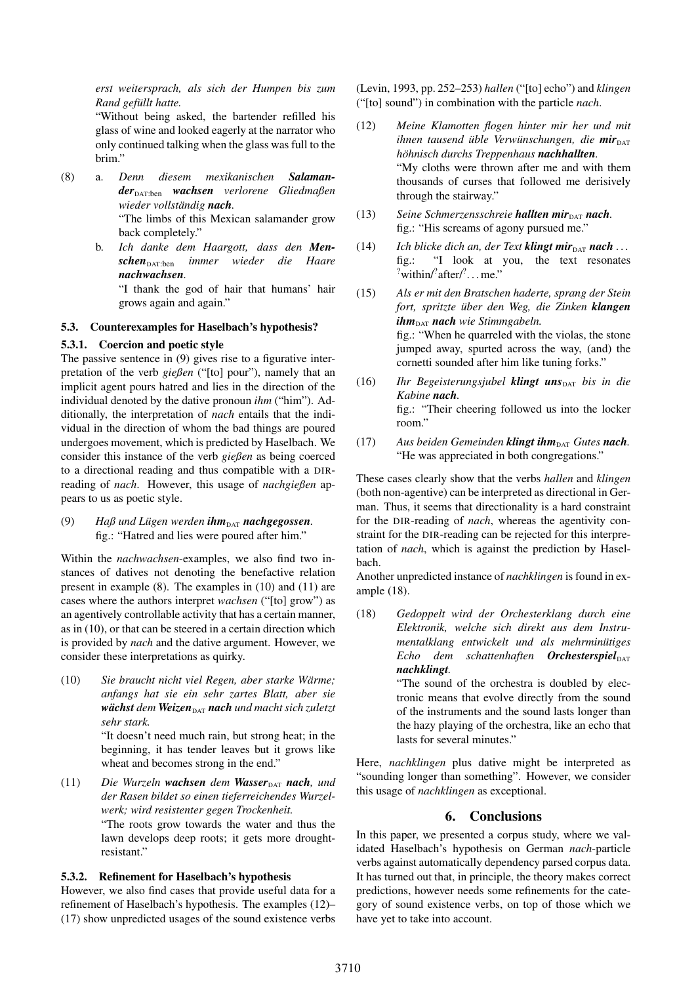*erst weitersprach, als sich der Humpen bis zum Rand gefüllt hatte.*

"Without being asked, the bartender refilled his glass of wine and looked eagerly at the narrator who only continued talking when the glass was full to the brim."

- (8) a. *Denn diesem mexikanischen Salaman* $der<sub>DATA:ben</sub>$  *wachsen verlorene* Gliedmaßen *wieder vollständig nach.* "The limbs of this Mexican salamander grow back completely."
	- b. *Ich danke dem Haargott, dass den Men***schen**<sub>DAT:ben</sub> *immer* wieder die Haare *nachwachsen.*

"I thank the god of hair that humans' hair grows again and again."

## 5.3. Counterexamples for Haselbach's hypothesis?

## 5.3.1. Coercion and poetic style

The passive sentence in (9) gives rise to a figurative interpretation of the verb *gießen* ("[to] pour"), namely that an implicit agent pours hatred and lies in the direction of the individual denoted by the dative pronoun *ihm* ("him"). Additionally, the interpretation of *nach* entails that the individual in the direction of whom the bad things are poured undergoes movement, which is predicted by Haselbach. We consider this instance of the verb *gießen* as being coerced to a directional reading and thus compatible with a DIRreading of *nach*. However, this usage of *nachgießen* appears to us as poetic style.

(9) *Haß und Lügen werden ihm*<sub>DAT</sub> *nachgegossen.* fig.: "Hatred and lies were poured after him."

Within the *nachwachsen*-examples, we also find two instances of datives not denoting the benefactive relation present in example (8). The examples in (10) and (11) are cases where the authors interpret *wachsen* ("[to] grow") as an agentively controllable activity that has a certain manner, as in (10), or that can be steered in a certain direction which is provided by *nach* and the dative argument. However, we consider these interpretations as quirky.

(10) *Sie braucht nicht viel Regen, aber starke Wärme; anfangs hat sie ein sehr zartes Blatt, aber sie wächst dem Weizen*<sub>DAT</sub> *nach und macht sich zuletzt sehr stark.*

> "It doesn't need much rain, but strong heat; in the beginning, it has tender leaves but it grows like wheat and becomes strong in the end."

(11) *Die Wurzeln wachsen dem Wasser*<sub>DAT</sub> *nach, und der Rasen bildet so einen tieferreichendes Wurzelwerk; wird resistenter gegen Trockenheit.* "The roots grow towards the water and thus the lawn develops deep roots; it gets more droughtresistant."

## 5.3.2. Refinement for Haselbach's hypothesis

However, we also find cases that provide useful data for a refinement of Haselbach's hypothesis. The examples (12)– (17) show unpredicted usages of the sound existence verbs (Levin, 1993, pp. 252–253) *hallen* ("[to] echo") and *klingen* ("[to] sound") in combination with the particle *nach*.

- (12) *Meine Klamotten flogen hinter mir her und mit ihnen tausend üble Verwünschungen, die mir höhnisch durchs Treppenhaus nachhallten.* "My cloths were thrown after me and with them thousands of curses that followed me derisively through the stairway."
- (13) Seine Schmerzensschreie **hallten mir**<sub>DAT</sub> **nach**. fig.: "His screams of agony pursued me."
- (14) *Ich blicke dich an, der Text klingt mir*<sub>DAT</sub> *nach* ... fig.: "I look at you, the text resonates  $\frac{?}{%}$  within/ $\frac{?}{*}$  after/ $\frac{?}{*}$ ... me."
- (15) *Als er mit den Bratschen haderte, sprang der Stein fort, spritzte über den Weg, die Zinken klangen ihm*<sub>DAT</sub> *nach wie Stimmgabeln.* fig.: "When he quarreled with the violas, the stone jumped away, spurted across the way, (and) the cornetti sounded after him like tuning forks."
- (16) *Ihr Begeisterungsjubel* **klingt uns**<sub>DAT</sub> *bis in die Kabine nach.* fig.: "Their cheering followed us into the locker room."
- (17) Aus beiden Gemeinden **klingt ihm**<sub>DAT</sub> Gutes **nach**. "He was appreciated in both congregations."

These cases clearly show that the verbs *hallen* and *klingen* (both non-agentive) can be interpreted as directional in German. Thus, it seems that directionality is a hard constraint for the DIR-reading of *nach*, whereas the agentivity constraint for the DIR-reading can be rejected for this interpretation of *nach*, which is against the prediction by Haselbach.

Another unpredicted instance of *nachklingen* is found in example (18).

(18) *Gedoppelt wird der Orchesterklang durch eine Elektronik, welche sich direkt aus dem Instrumentalklang entwickelt und als mehrminütiges*  $Echo$  *dem schattenhaften OrchesterspielDAT nachklingt.*

> "The sound of the orchestra is doubled by electronic means that evolve directly from the sound of the instruments and the sound lasts longer than the hazy playing of the orchestra, like an echo that lasts for several minutes."

Here, *nachklingen* plus dative might be interpreted as "sounding longer than something". However, we consider this usage of *nachklingen* as exceptional.

# 6. Conclusions

In this paper, we presented a corpus study, where we validated Haselbach's hypothesis on German *nach*-particle verbs against automatically dependency parsed corpus data. It has turned out that, in principle, the theory makes correct predictions, however needs some refinements for the category of sound existence verbs, on top of those which we have yet to take into account.